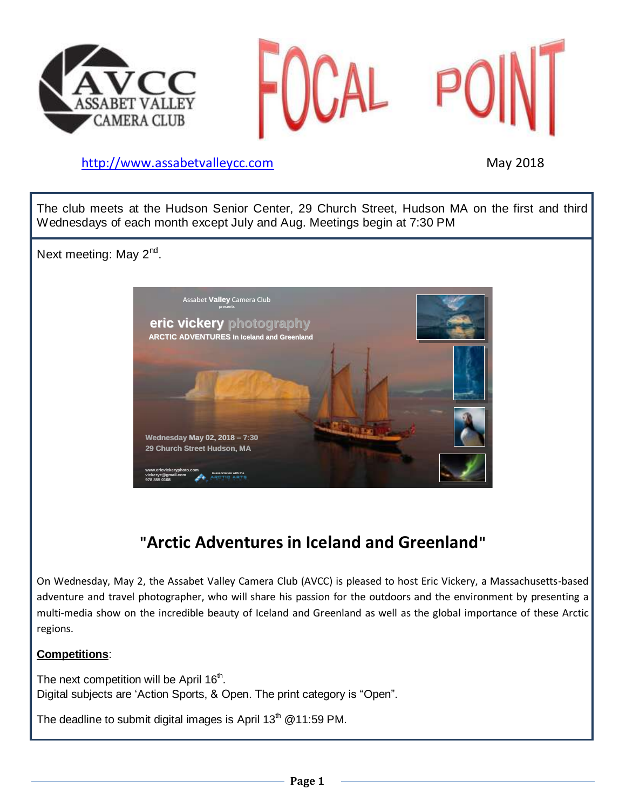



### [http://www.assabetvalleyc](http://www.assabetvalley/)c.com May 2018

The club meets at the Hudson Senior Center, 29 Church Street, Hudson MA on the first and third Wednesdays of each month except July and Aug. Meetings begin at 7:30 PM

Next meeting: May 2<sup>nd</sup>.



# **"Arctic Adventures in Iceland and Greenland"**

On Wednesday, May 2, the Assabet Valley Camera Club (AVCC) is pleased to host Eric Vickery, a Massachusetts-based adventure and travel photographer, who will share his passion for the outdoors and the environment by presenting a multi-media show on the incredible beauty of Iceland and Greenland as well as the global importance of these Arctic regions.

#### **Competitions**:

The next competition will be April 16<sup>th</sup>. Digital subjects are 'Action Sports, & Open. The print category is "Open".

The deadline to submit digital images is April  $13<sup>th</sup>$  @11:59 PM.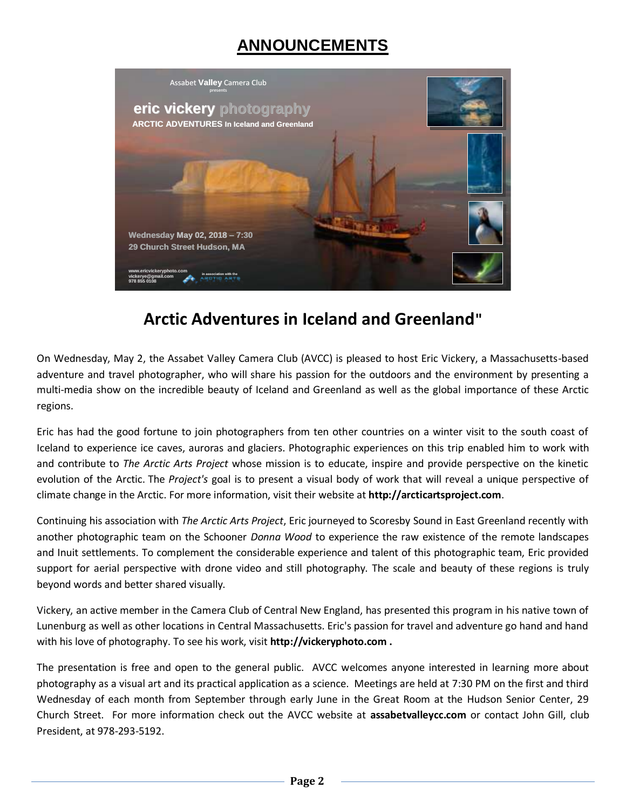# **ANNOUNCEMENTS**



## **Arctic Adventures in Iceland and Greenland"**

On Wednesday, May 2, the Assabet Valley Camera Club (AVCC) is pleased to host Eric Vickery, a Massachusetts-based adventure and travel photographer, who will share his passion for the outdoors and the environment by presenting a multi-media show on the incredible beauty of Iceland and Greenland as well as the global importance of these Arctic regions.

Eric has had the good fortune to join photographers from ten other countries on a winter visit to the south coast of Iceland to experience ice caves, auroras and glaciers. Photographic experiences on this trip enabled him to work with and contribute to *The Arctic Arts Project* whose mission is to educate, inspire and provide perspective on the kinetic evolution of the Arctic. The *Project's* goal is to present a visual body of work that will reveal a unique perspective of climate change in the Arctic. For more information, visit their website at **http://arcticartsproject.com**.

Continuing his association with *The Arctic Arts Project*, Eric journeyed to Scoresby Sound in East Greenland recently with another photographic team on the Schooner *Donna Wood* to experience the raw existence of the remote landscapes and Inuit settlements. To complement the considerable experience and talent of this photographic team, Eric provided support for aerial perspective with drone video and still photography. The scale and beauty of these regions is truly beyond words and better shared visually.

Vickery, an active member in the Camera Club of Central New England, has presented this program in his native town of Lunenburg as well as other locations in Central Massachusetts. Eric's passion for travel and adventure go hand and hand with his love of photography. To see his work, visit **http://vickeryphoto.com .**

The presentation is free and open to the general public. AVCC welcomes anyone interested in learning more about photography as a visual art and its practical application as a science. Meetings are held at 7:30 PM on the first and third Wednesday of each month from September through early June in the Great Room at the Hudson Senior Center, 29 Church Street. For more information check out the AVCC website at **assabetvalleycc.com** or contact John Gill, club President, at 978-293-5192.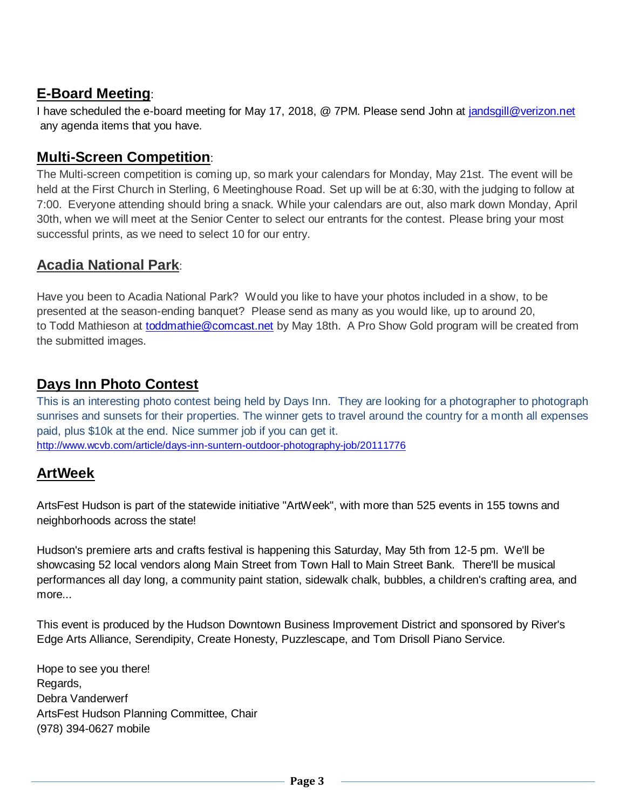## **E-Board Meeting**:

I have scheduled the e-board meeting for May 17, 2018, @ 7PM. Please send John at [jandsgill@verizon.net](mailto:jandsgill@verizon.net) any agenda items that you have.

### **Multi-Screen Competition**:

The Multi-screen competition is coming up, so mark your calendars for Monday, May 21st. The event will be held at the First Church in Sterling, 6 Meetinghouse Road. Set up will be at 6:30, with the judging to follow at 7:00. Everyone attending should bring a snack. While your calendars are out, also mark down Monday, April 30th, when we will meet at the Senior Center to select our entrants for the contest. Please bring your most successful prints, as we need to select 10 for our entry.

## **Acadia National Park**:

Have you been to Acadia National Park? Would you like to have your photos included in a show, to be presented at the season-ending banquet? Please send as many as you would like, up to around 20, to Todd Mathieson at [toddmathie@comcast.net](mailto:toddmathie@comcast.net) by May 18th. A Pro Show Gold program will be created from the submitted images.

## **Days Inn Photo Contest**

This is an interesting photo contest being held by Days Inn. They are looking for a photographer to photograph sunrises and sunsets for their properties. The winner gets to travel around the country for a month all expenses paid, plus \$10k at the end. Nice summer job if you can get it. <http://www.wcvb.com/article/days-inn-suntern-outdoor-photography-job/20111776>

## **ArtWeek**

ArtsFest Hudson is part of the statewide initiative "ArtWeek", with more than 525 events in 155 towns and neighborhoods across the state!

Hudson's premiere arts and crafts festival is happening this Saturday, May 5th from 12-5 pm. We'll be showcasing 52 local vendors along Main Street from Town Hall to Main Street Bank. There'll be musical performances all day long, a community paint station, sidewalk chalk, bubbles, a children's crafting area, and more...

This event is produced by the Hudson Downtown Business Improvement District and sponsored by River's Edge Arts Alliance, Serendipity, Create Honesty, Puzzlescape, and Tom Drisoll Piano Service.

Hope to see you there! Regards, Debra Vanderwerf ArtsFest Hudson Planning Committee, Chair (978) 394-0627 mobile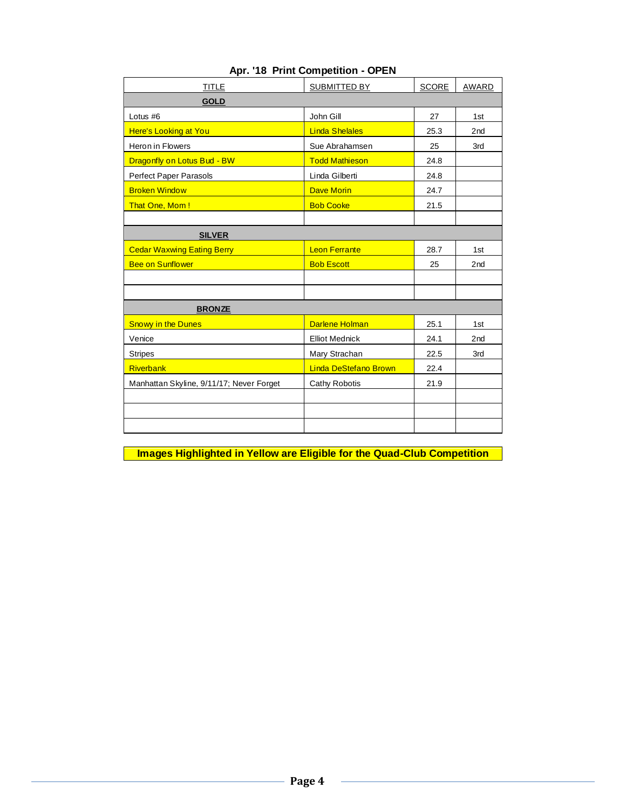| TITLE                                    | SUBMITTED BY                 | <b>SCORE</b> | AWARD           |
|------------------------------------------|------------------------------|--------------|-----------------|
| <b>GOLD</b>                              |                              |              |                 |
| Lotus #6                                 | John Gill                    | 27           | 1st             |
| Here's Looking at You                    | <b>Linda Shelales</b>        | 25.3         | 2 <sub>nd</sub> |
| Heron in Flowers                         | Sue Abrahamsen               | 25           | 3rd             |
| Dragonfly on Lotus Bud - BW              | <b>Todd Mathieson</b>        | 24.8         |                 |
| Perfect Paper Parasols                   | Linda Gilberti               | 24.8         |                 |
| <b>Broken Window</b>                     | <b>Dave Morin</b>            | 24.7         |                 |
| That One, Mom!                           | <b>Bob Cooke</b>             | 21.5         |                 |
|                                          |                              |              |                 |
| <b>SILVER</b>                            |                              |              |                 |
| <b>Cedar Waxwing Eating Berry</b>        | <b>Leon Ferrante</b>         | 28.7         | 1st             |
| <b>Bee on Sunflower</b>                  | <b>Bob Escott</b>            | 25           | 2 <sub>nd</sub> |
|                                          |                              |              |                 |
|                                          |                              |              |                 |
| <b>BRONZE</b>                            |                              |              |                 |
| <b>Snowy in the Dunes</b>                | <b>Darlene Holman</b>        | 25.1         | 1st             |
| Venice                                   | <b>Elliot Mednick</b>        | 24.1         | 2 <sub>nd</sub> |
| <b>Stripes</b>                           | Mary Strachan                | 22.5         | 3rd             |
| <b>Riverbank</b>                         | <b>Linda DeStefano Brown</b> | 22.4         |                 |
| Manhattan Skyline, 9/11/17; Never Forget | Cathy Robotis                | 21.9         |                 |
|                                          |                              |              |                 |
|                                          |                              |              |                 |
|                                          |                              |              |                 |

#### **Apr. '18 Print Competition - OPEN**

**Images Highlighted in Yellow are Eligible for the Quad-Club Competition**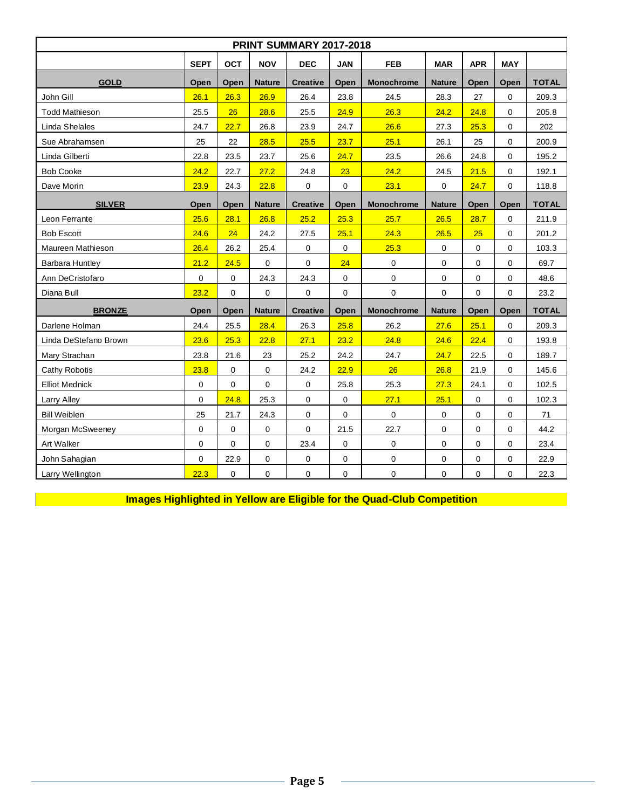| <b>PRINT SUMMARY 2017-2018</b> |             |                                          |               |                 |             |                   |               |            |             |              |  |  |  |
|--------------------------------|-------------|------------------------------------------|---------------|-----------------|-------------|-------------------|---------------|------------|-------------|--------------|--|--|--|
|                                | <b>SEPT</b> | <b>OCT</b>                               | <b>NOV</b>    | <b>DEC</b>      | <b>JAN</b>  | <b>FEB</b>        | <b>MAR</b>    | <b>APR</b> | <b>MAY</b>  |              |  |  |  |
| <b>GOLD</b>                    | Open        | Open                                     | <b>Nature</b> | <b>Creative</b> | Open        | <b>Monochrome</b> | <b>Nature</b> | Open       | Open        | <b>TOTAL</b> |  |  |  |
| John Gill                      | 26.1        | 26.3                                     | 26.9          | 26.4            | 23.8        | 24.5              | 28.3          | 27         | $\mathbf 0$ | 209.3        |  |  |  |
| <b>Todd Mathieson</b>          | 25.5        | 26                                       | 28.6          | 25.5            | 24.9        | 26.3              | 24.2          | 24.8       | $\Omega$    | 205.8        |  |  |  |
| Linda Shelales                 | 24.7        | 22.7                                     | 26.8          | 23.9            | 24.7        | 26.6              | 27.3          | 25.3       | $\mathbf 0$ | 202          |  |  |  |
| Sue Abrahamsen                 | 25          | 22                                       | 28.5          | 25.5            | 23.7        | 25.1              | 26.1          | 25         | $\Omega$    | 200.9        |  |  |  |
| Linda Gilberti                 | 22.8        | 23.5                                     | 23.7          | 25.6            | 24.7        | 23.5              | 26.6          | 24.8       | $\mathbf 0$ | 195.2        |  |  |  |
| <b>Bob Cooke</b>               | 24.2        | 22.7                                     | 27.2          | 24.8            | 23          | 24.2              | 24.5          | 21.5       | $\mathbf 0$ | 192.1        |  |  |  |
| Dave Morin                     | 23.9        | 23.1<br>24.3<br>22.8<br>$\mathbf 0$<br>0 |               |                 | $\mathbf 0$ | 24.7              | $\mathbf 0$   | 118.8      |             |              |  |  |  |
| <b>SILVER</b>                  | Open        | Open                                     | <b>Nature</b> | <b>Creative</b> | Open        | <b>Monochrome</b> | <b>Nature</b> | Open       | Open        | <b>TOTAL</b> |  |  |  |
| Leon Ferrante                  | 25.6        | 28.1                                     | 26.8          | 25.2            | 25.3        | 25.7              | 26.5          | 28.7       | $\mathbf 0$ | 211.9        |  |  |  |
| <b>Bob Escott</b>              | 24.6        | 24                                       | 24.2          | 27.5            | 25.1        | 24.3              | 26.5          | 25         | $\mathbf 0$ | 201.2        |  |  |  |
| Maureen Mathieson              | 26.4        | 26.2                                     | 25.4          | $\mathbf 0$     | $\pmb{0}$   | 25.3              | $\mathbf 0$   | 0          | $\mathbf 0$ | 103.3        |  |  |  |
| Barbara Huntley                | 21.2        | 24.5                                     | $\mathbf 0$   | 0               | 24          | $\pmb{0}$         | $\pmb{0}$     | 0          | $\mathbf 0$ | 69.7         |  |  |  |
| Ann DeCristofaro               | $\pmb{0}$   | 0                                        | 24.3          | 24.3            | $\mathbf 0$ | $\pmb{0}$         | $\mathbf 0$   | 0          | $\mathbf 0$ | 48.6         |  |  |  |
| Diana Bull                     | 23.2        | 0                                        | $\mathbf 0$   | 0               | $\mathbf 0$ | $\mathbf 0$       | 0             | 0          | $\mathbf 0$ | 23.2         |  |  |  |
| <b>BRONZE</b>                  | Open        | Open                                     | <b>Nature</b> | <b>Creative</b> | Open        | Monochrome        | <b>Nature</b> | Open       | Open        | <b>TOTAL</b> |  |  |  |
| Darlene Holman                 | 24.4        | 25.5                                     | 28.4          | 26.3            | 25.8        | 26.2              | 27.6          | 25.1       | $\mathbf 0$ | 209.3        |  |  |  |
| Linda DeStefano Brown          | 23.6        | 25.3                                     | 22.8          | 27.1            | 23.2        | 24.8              | 24.6          | 22.4       | $\mathbf 0$ | 193.8        |  |  |  |
| Mary Strachan                  | 23.8        | 21.6                                     | 23            | 25.2            | 24.2        | 24.7              | 24.7          | 22.5       | $\mathbf 0$ | 189.7        |  |  |  |
| <b>Cathy Robotis</b>           | 23.8        | 0                                        | $\mathbf 0$   | 24.2            | 22.9        | 26                | 26.8          | 21.9       | $\mathbf 0$ | 145.6        |  |  |  |
| <b>Elliot Mednick</b>          | $\pmb{0}$   | 0                                        | 0             | 0               | 25.8        | 25.3              | 27.3          | 24.1       | $\mathbf 0$ | 102.5        |  |  |  |
| Larry Alley                    | $\mathbf 0$ | 24.8                                     | 25.3          | 0               | $\mathbf 0$ | 27.1              | 25.1          | 0          | $\mathbf 0$ | 102.3        |  |  |  |
| <b>Bill Weiblen</b>            | 25          | 21.7                                     | 24.3          | 0               | $\pmb{0}$   | 0                 | $\mathbf 0$   | 0          | $\mathbf 0$ | 71           |  |  |  |
| Morgan McSweeney               | 0           | 0                                        | $\mathbf 0$   | 0               | 21.5        | 22.7              | $\mathbf 0$   | 0          | $\mathbf 0$ | 44.2         |  |  |  |
| Art Walker                     | $\mathbf 0$ | 0                                        | $\mathbf 0$   | 23.4            | $\pmb{0}$   | 0                 | $\mathbf 0$   | 0          | $\mathbf 0$ | 23.4         |  |  |  |
| John Sahagian                  | $\mathbf 0$ | 22.9                                     | 0             | $\pmb{0}$       | $\mathbf 0$ | $\pmb{0}$         | $\pmb{0}$     | 0          | $\mathbf 0$ | 22.9         |  |  |  |
| Larry Wellington               | 22.3        | 0                                        | 0             | 0               | $\pmb{0}$   | $\pmb{0}$         | $\pmb{0}$     | 0          | $\mathbf 0$ | 22.3         |  |  |  |

**Images Highlighted in Yellow are Eligible for the Quad-Club Competition**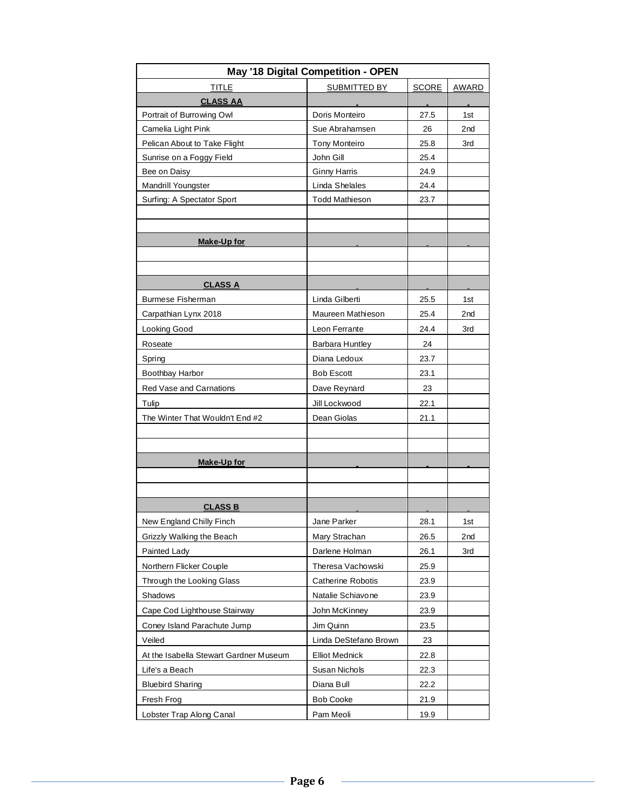| <b>TITLE</b><br>SUBMITTED BY<br><b>SCORE</b><br><b>AWARD</b><br><b>CLASS AA</b><br>Portrait of Burrowing Owl<br>Doris Monteiro<br>27.5<br>1st<br>Camelia Light Pink<br>Sue Abrahamsen<br>26<br>2nd<br>Pelican About to Take Flight<br><b>Tony Monteiro</b><br>25.8<br>3rd<br>Sunrise on a Foggy Field<br>John Gill<br>25.4<br><b>Ginny Harris</b><br>24.9<br>Bee on Daisy |
|---------------------------------------------------------------------------------------------------------------------------------------------------------------------------------------------------------------------------------------------------------------------------------------------------------------------------------------------------------------------------|
|                                                                                                                                                                                                                                                                                                                                                                           |
|                                                                                                                                                                                                                                                                                                                                                                           |
|                                                                                                                                                                                                                                                                                                                                                                           |
|                                                                                                                                                                                                                                                                                                                                                                           |
|                                                                                                                                                                                                                                                                                                                                                                           |
|                                                                                                                                                                                                                                                                                                                                                                           |
|                                                                                                                                                                                                                                                                                                                                                                           |
| Linda Shelales<br>Mandrill Youngster<br>24.4                                                                                                                                                                                                                                                                                                                              |
| Surfing: A Spectator Sport<br><b>Todd Mathieson</b><br>23.7                                                                                                                                                                                                                                                                                                               |
|                                                                                                                                                                                                                                                                                                                                                                           |
|                                                                                                                                                                                                                                                                                                                                                                           |
| <u>Make-Up for</u>                                                                                                                                                                                                                                                                                                                                                        |
|                                                                                                                                                                                                                                                                                                                                                                           |
|                                                                                                                                                                                                                                                                                                                                                                           |
| <b>CLASS A</b>                                                                                                                                                                                                                                                                                                                                                            |
| <b>Burmese Fisherman</b><br>Linda Gilberti<br>25.5<br>1st                                                                                                                                                                                                                                                                                                                 |
| Maureen Mathieson<br>Carpathian Lynx 2018<br>25.4<br>2nd                                                                                                                                                                                                                                                                                                                  |
| Looking Good<br>Leon Ferrante<br>24.4<br>3rd                                                                                                                                                                                                                                                                                                                              |
| Roseate<br>Barbara Huntley<br>24                                                                                                                                                                                                                                                                                                                                          |
| Diana Ledoux<br>Spring<br>23.7                                                                                                                                                                                                                                                                                                                                            |
| Boothbay Harbor<br><b>Bob Escott</b><br>23.1                                                                                                                                                                                                                                                                                                                              |
| <b>Red Vase and Carnations</b><br>Dave Reynard<br>23                                                                                                                                                                                                                                                                                                                      |
| Jill Lockwood<br>22.1<br>Tulip                                                                                                                                                                                                                                                                                                                                            |
| The Winter That Wouldn't End #2<br>Dean Giolas<br>21.1                                                                                                                                                                                                                                                                                                                    |
|                                                                                                                                                                                                                                                                                                                                                                           |
|                                                                                                                                                                                                                                                                                                                                                                           |
| <b>Make-Up for</b>                                                                                                                                                                                                                                                                                                                                                        |
|                                                                                                                                                                                                                                                                                                                                                                           |
|                                                                                                                                                                                                                                                                                                                                                                           |
| <b>CLASS B</b>                                                                                                                                                                                                                                                                                                                                                            |
| New England Chilly Finch<br>28.1<br>Jane Parker<br>1st                                                                                                                                                                                                                                                                                                                    |
| Grizzly Walking the Beach<br>Mary Strachan<br>26.5<br>2nd                                                                                                                                                                                                                                                                                                                 |
| Painted Lady<br>Darlene Holman<br>26.1<br>3rd                                                                                                                                                                                                                                                                                                                             |
| Northern Flicker Couple<br>Theresa Vachowski<br>25.9                                                                                                                                                                                                                                                                                                                      |
| Through the Looking Glass<br><b>Catherine Robotis</b><br>23.9                                                                                                                                                                                                                                                                                                             |
| Shadows<br>Natalie Schiavone<br>23.9                                                                                                                                                                                                                                                                                                                                      |
| Cape Cod Lighthouse Stairway<br>John McKinney<br>23.9                                                                                                                                                                                                                                                                                                                     |
| Jim Quinn<br>Coney Island Parachute Jump<br>23.5                                                                                                                                                                                                                                                                                                                          |
| Veiled<br>Linda DeStefano Brown<br>23                                                                                                                                                                                                                                                                                                                                     |
| At the Isabella Stewart Gardner Museum<br><b>Elliot Mednick</b><br>22.8                                                                                                                                                                                                                                                                                                   |
| Life's a Beach<br>Susan Nichols<br>22.3                                                                                                                                                                                                                                                                                                                                   |
| <b>Bluebird Sharing</b><br>Diana Bull<br>22.2                                                                                                                                                                                                                                                                                                                             |
| <b>Bob Cooke</b><br>21.9<br>Fresh Frog                                                                                                                                                                                                                                                                                                                                    |
| Lobster Trap Along Canal<br>Pam Meoli<br>19.9                                                                                                                                                                                                                                                                                                                             |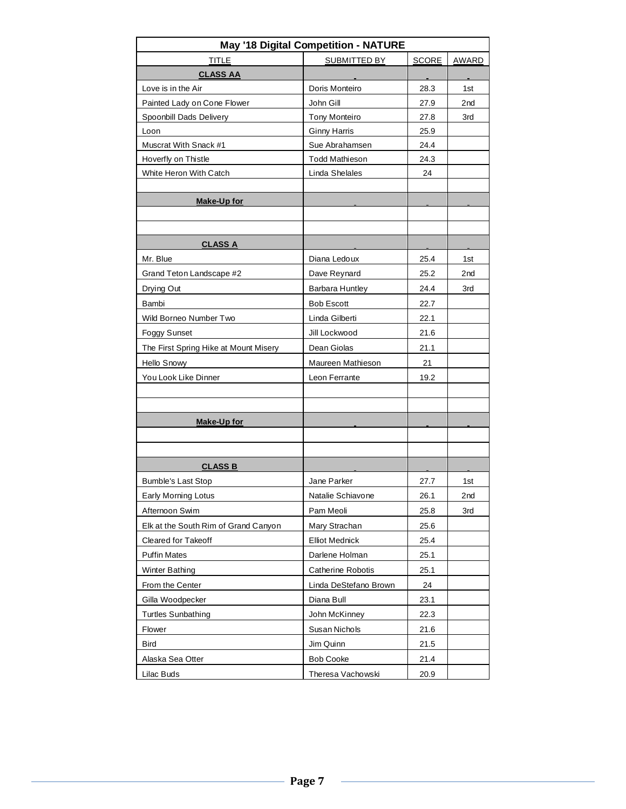| May '18 Digital Competition - NATURE  |                       |              |       |  |  |  |  |  |  |  |  |
|---------------------------------------|-----------------------|--------------|-------|--|--|--|--|--|--|--|--|
| <b>TITLE</b>                          | SUBMITTED BY          | <b>SCORE</b> | AWARD |  |  |  |  |  |  |  |  |
| <b>CLASS AA</b>                       |                       |              |       |  |  |  |  |  |  |  |  |
| Love is in the Air                    | Doris Monteiro        | 28.3         | 1st   |  |  |  |  |  |  |  |  |
| Painted Lady on Cone Flower           | John Gill             | 27.9         | 2nd   |  |  |  |  |  |  |  |  |
| Spoonbill Dads Delivery               | <b>Tony Monteiro</b>  | 27.8         | 3rd   |  |  |  |  |  |  |  |  |
| Loon                                  | <b>Ginny Harris</b>   | 25.9         |       |  |  |  |  |  |  |  |  |
| Muscrat With Snack #1                 | Sue Abrahamsen        | 24.4         |       |  |  |  |  |  |  |  |  |
| Hoverfly on Thistle                   | <b>Todd Mathieson</b> | 24.3         |       |  |  |  |  |  |  |  |  |
| White Heron With Catch                | Linda Shelales        | 24           |       |  |  |  |  |  |  |  |  |
|                                       |                       |              |       |  |  |  |  |  |  |  |  |
| <u>Make-Up for</u>                    |                       |              |       |  |  |  |  |  |  |  |  |
|                                       |                       |              |       |  |  |  |  |  |  |  |  |
|                                       |                       |              |       |  |  |  |  |  |  |  |  |
| <b>CLASS A</b>                        |                       |              |       |  |  |  |  |  |  |  |  |
| Mr. Blue                              | Diana Ledoux          | 25.4         | 1st   |  |  |  |  |  |  |  |  |
| Grand Teton Landscape #2              | Dave Reynard          | 25.2         | 2nd   |  |  |  |  |  |  |  |  |
| Drying Out                            | Barbara Huntley       | 24.4         | 3rd   |  |  |  |  |  |  |  |  |
| Bambi                                 | <b>Bob Escott</b>     | 22.7         |       |  |  |  |  |  |  |  |  |
| Wild Borneo Number Two                | Linda Gilberti        | 22.1         |       |  |  |  |  |  |  |  |  |
| <b>Foggy Sunset</b>                   | Jill Lockwood         | 21.6         |       |  |  |  |  |  |  |  |  |
| The First Spring Hike at Mount Misery | Dean Giolas           | 21.1         |       |  |  |  |  |  |  |  |  |
| Hello Snowy                           | Maureen Mathieson     | 21           |       |  |  |  |  |  |  |  |  |
| You Look Like Dinner                  | Leon Ferrante         | 19.2         |       |  |  |  |  |  |  |  |  |
|                                       |                       |              |       |  |  |  |  |  |  |  |  |
|                                       |                       |              |       |  |  |  |  |  |  |  |  |
| <b>Make-Up for</b>                    |                       |              |       |  |  |  |  |  |  |  |  |
|                                       |                       |              |       |  |  |  |  |  |  |  |  |
|                                       |                       |              |       |  |  |  |  |  |  |  |  |
| <u>CLASS B</u>                        |                       |              |       |  |  |  |  |  |  |  |  |
| <b>Bumble's Last Stop</b>             | Jane Parker           | 27.7         | 1st   |  |  |  |  |  |  |  |  |
| Early Morning Lotus                   | Natalie Schiavone     | 26.1         | 2nd   |  |  |  |  |  |  |  |  |
| Afternoon Swim                        | Pam Meoli             | 25.8         | 3rd   |  |  |  |  |  |  |  |  |
| Elk at the South Rim of Grand Canyon  | Mary Strachan         | 25.6         |       |  |  |  |  |  |  |  |  |
| Cleared for Takeoff                   | <b>Elliot Mednick</b> | 25.4         |       |  |  |  |  |  |  |  |  |
| <b>Puffin Mates</b>                   | Darlene Holman        | 25.1         |       |  |  |  |  |  |  |  |  |
| Winter Bathing                        | Catherine Robotis     | 25.1         |       |  |  |  |  |  |  |  |  |
| From the Center                       | Linda DeStefano Brown | 24           |       |  |  |  |  |  |  |  |  |
| Gilla Woodpecker                      | Diana Bull            | 23.1         |       |  |  |  |  |  |  |  |  |
| <b>Turtles Sunbathing</b>             | John McKinney         | 22.3         |       |  |  |  |  |  |  |  |  |
| Flower                                | Susan Nichols         | 21.6         |       |  |  |  |  |  |  |  |  |
| <b>Bird</b>                           | Jim Quinn             | 21.5         |       |  |  |  |  |  |  |  |  |
| Alaska Sea Otter                      | <b>Bob Cooke</b>      | 21.4         |       |  |  |  |  |  |  |  |  |
| Lilac Buds                            | Theresa Vachowski     | 20.9         |       |  |  |  |  |  |  |  |  |